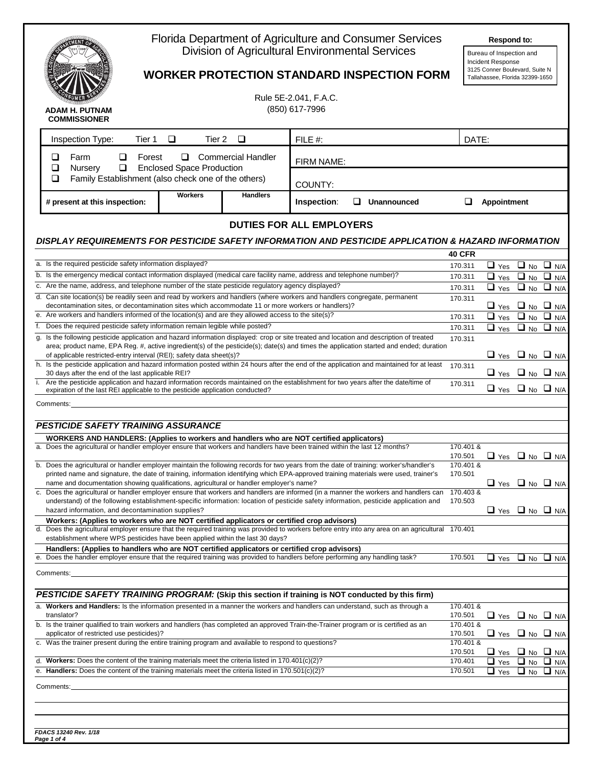

## Florida Department of Agriculture and Consumer Services **Respond to:** ರಿನ್ Division of Agricultural Environmental Services

| <b>Respond to:</b> |  |
|--------------------|--|
|                    |  |

3125 Conner Boulevard, Suite N Tallahassee, Florida 32399-1650

Bureau of Inspection and Incident Response

| <b>WORKER PROTECTION STANDARD INSPECTION FORM</b> |  |
|---------------------------------------------------|--|
|                                                   |  |

Rule 5E-2.041, F.A.C. (850) 617-7996

| <b>ADAM H. PUTNAM</b><br><b>COMMISSIONER</b>                                                                                                                                                                                                                                                                                                                   |                                       |                                 | $(850)$ 617-7996 |  |                    |                          |                                 |                                 |                                 |
|----------------------------------------------------------------------------------------------------------------------------------------------------------------------------------------------------------------------------------------------------------------------------------------------------------------------------------------------------------------|---------------------------------------|---------------------------------|------------------|--|--------------------|--------------------------|---------------------------------|---------------------------------|---------------------------------|
| Inspection Type:<br>Tier 1                                                                                                                                                                                                                                                                                                                                     | $\Box$<br>Tier 2                      | $\Box$                          | FILE #:          |  |                    | DATE:                    |                                 |                                 |                                 |
| ❏<br>Farm<br>ப<br>Forest<br>❏<br>$\Box$<br>Nursery                                                                                                                                                                                                                                                                                                             | □<br><b>Enclosed Space Production</b> | <b>Commercial Handler</b>       | FIRM NAME:       |  |                    |                          |                                 |                                 |                                 |
| Family Establishment (also check one of the others)<br>❏                                                                                                                                                                                                                                                                                                       |                                       |                                 | COUNTY:          |  |                    |                          |                                 |                                 |                                 |
| # present at this inspection:                                                                                                                                                                                                                                                                                                                                  | <b>Workers</b>                        | <b>Handlers</b>                 | Inspection:      |  | $\Box$ Unannounced | ❏                        | Appointment                     |                                 |                                 |
|                                                                                                                                                                                                                                                                                                                                                                |                                       | <b>DUTIES FOR ALL EMPLOYERS</b> |                  |  |                    |                          |                                 |                                 |                                 |
| DISPLAY REQUIREMENTS FOR PESTICIDE SAFETY INFORMATION AND PESTICIDE APPLICATION & HAZARD INFORMATION                                                                                                                                                                                                                                                           |                                       |                                 |                  |  |                    |                          |                                 |                                 |                                 |
| a. Is the required pesticide safety information displayed?                                                                                                                                                                                                                                                                                                     |                                       |                                 |                  |  |                    | <b>40 CFR</b><br>170.311 |                                 |                                 | $\Box$ Yes $\Box$ No $\Box$ N/A |
| b. Is the emergency medical contact information displayed (medical care facility name, address and telephone number)?                                                                                                                                                                                                                                          |                                       |                                 |                  |  |                    | 170.311                  |                                 |                                 | $\Box$ Yes $\Box$ No $\Box$ N/A |
| c. Are the name, address, and telephone number of the state pesticide regulatory agency displayed?                                                                                                                                                                                                                                                             |                                       |                                 |                  |  |                    | 170.311                  |                                 |                                 | $\Box$ Yes $\Box$ No $\Box$ N/A |
| d. Can site location(s) be readily seen and read by workers and handlers (where workers and handlers congregate, permanent<br>decontamination sites, or decontamination sites which accommodate 11 or more workers or handlers)?                                                                                                                               |                                       |                                 |                  |  |                    | 170.311                  |                                 |                                 | $\Box$ Yes $\Box$ No $\Box$ N/A |
| e. Are workers and handlers informed of the location(s) and are they allowed access to the site(s)?                                                                                                                                                                                                                                                            |                                       |                                 |                  |  |                    | 170.311                  |                                 |                                 | $\Box$ Yes $\Box$ No $\Box$ N/A |
| f. Does the required pesticide safety information remain legible while posted?                                                                                                                                                                                                                                                                                 |                                       |                                 |                  |  |                    | 170.311                  |                                 | $\Box$ Yes $\Box$ No $\Box$ N/A |                                 |
| Is the following pesticide application and hazard information displayed: crop or site treated and location and description of treated<br>g.<br>area; product name, EPA Reg. #, active ingredient(s) of the pesticide(s); date(s) and times the application started and ended; duration<br>of applicable restricted-entry interval (REI); safety data sheet(s)? |                                       |                                 |                  |  |                    | 170.311                  | $\Box$ Yes $\Box$ No $\Box$ N/A |                                 |                                 |
| h. Is the pesticide application and hazard information posted within 24 hours after the end of the application and maintained for at least<br>30 days after the end of the last applicable REI?                                                                                                                                                                |                                       |                                 |                  |  |                    | 170.311                  | $\Box$ Yes $\Box$ No $\Box$ N/A |                                 |                                 |
| Are the pesticide application and hazard information records maintained on the establishment for two years after the date/time of<br>i.<br>expiration of the last REI applicable to the pesticide application conducted?                                                                                                                                       |                                       |                                 |                  |  |                    | 170.311                  | $\Box$ Yes $\Box$ No $\Box$ N/A |                                 |                                 |
| Comments:                                                                                                                                                                                                                                                                                                                                                      |                                       |                                 |                  |  |                    |                          |                                 |                                 |                                 |
| <b>PESTICIDE SAFETY TRAINING ASSURANCE</b>                                                                                                                                                                                                                                                                                                                     |                                       |                                 |                  |  |                    |                          |                                 |                                 |                                 |
| WORKERS AND HANDLERS: (Applies to workers and handlers who are NOT certified applicators)                                                                                                                                                                                                                                                                      |                                       |                                 |                  |  |                    |                          |                                 |                                 |                                 |
| a. Does the agricultural or handler employer ensure that workers and handlers have been trained within the last 12 months?                                                                                                                                                                                                                                     |                                       |                                 |                  |  |                    | 170.401 &<br>170.501     |                                 |                                 | $\Box$ Yes $\Box$ No $\Box$ N/A |
| b. Does the agricultural or handler employer maintain the following records for two years from the date of training: worker's/handler's<br>printed name and signature, the date of training, information identifying which EPA-approved training materials were used, trainer's                                                                                |                                       |                                 |                  |  |                    | 170.401 &<br>170.501     |                                 |                                 |                                 |
| name and documentation showing qualifications, agricultural or handler employer's name?                                                                                                                                                                                                                                                                        |                                       |                                 |                  |  |                    |                          |                                 |                                 | $\Box$ Yes $\Box$ No $\Box$ N/A |
| c. Does the agricultural or handler employer ensure that workers and handlers are informed (in a manner the workers and handlers can<br>understand) of the following establishment-specific information: location of pesticide safety information, pesticide application and                                                                                   |                                       |                                 |                  |  |                    | 170.403 &<br>170.503     |                                 |                                 |                                 |
| hazard information, and decontamination supplies?                                                                                                                                                                                                                                                                                                              |                                       |                                 |                  |  |                    |                          |                                 |                                 | $\Box$ Yes $\Box$ No $\Box$ N/A |
| Workers: (Applies to workers who are NOT certified applicators or certified crop advisors)<br>d. Does the agricultural employer ensure that the required training was provided to workers before entry into any area on an agricultural 170.401<br>establishment where WPS pesticides have been applied within the last 30 days?                               |                                       |                                 |                  |  |                    |                          |                                 |                                 |                                 |
| Handlers: (Applies to handlers who are NOT certified applicators or certified crop advisors)                                                                                                                                                                                                                                                                   |                                       |                                 |                  |  |                    |                          |                                 |                                 |                                 |
| e. Does the handler employer ensure that the required training was provided to handlers before performing any handling task?                                                                                                                                                                                                                                   |                                       |                                 |                  |  |                    | 170.501                  | $\Box$ Yes                      |                                 | $\Box$ No $\Box$ N/A            |
| Comments:                                                                                                                                                                                                                                                                                                                                                      |                                       |                                 |                  |  |                    |                          |                                 |                                 |                                 |
| PESTICIDE SAFETY TRAINING PROGRAM: (Skip this section if training is NOT conducted by this firm)                                                                                                                                                                                                                                                               |                                       |                                 |                  |  |                    |                          |                                 |                                 |                                 |
| Workers and Handlers: Is the information presented in a manner the workers and handlers can understand, such as through a<br>translator?                                                                                                                                                                                                                       |                                       |                                 |                  |  |                    | 170.401 &<br>170.501     |                                 |                                 | $\Box$ Yes $\Box$ No $\Box$ N/A |
| b. Is the trainer qualified to train workers and handlers (has completed an approved Train-the-Trainer program or is certified as an<br>applicator of restricted use pesticides)?                                                                                                                                                                              |                                       |                                 |                  |  |                    | 170.401 &<br>170.501     |                                 |                                 | $\Box$ Yes $\Box$ No $\Box$ N/A |
| c. Was the trainer present during the entire training program and available to respond to questions?                                                                                                                                                                                                                                                           |                                       |                                 |                  |  |                    | 170.401 &<br>170.501     |                                 |                                 | $\Box$ Yes $\Box$ No $\Box$ N/A |
| d. Workers: Does the content of the training materials meet the criteria listed in $170.401(c)(2)?$                                                                                                                                                                                                                                                            |                                       |                                 |                  |  |                    | 170.401                  | $\Box$ Yes                      | $\Box$ No                       | $\Box$ N/A                      |
| e. Handlers: Does the content of the training materials meet the criteria listed in $170.501(c)(2)?$                                                                                                                                                                                                                                                           |                                       |                                 |                  |  |                    | 170.501                  | $\Box$ Yes                      | $\Box$ No                       | $\Box$ N/A                      |
| Comments:                                                                                                                                                                                                                                                                                                                                                      |                                       |                                 |                  |  |                    |                          |                                 |                                 |                                 |
|                                                                                                                                                                                                                                                                                                                                                                |                                       |                                 |                  |  |                    |                          |                                 |                                 |                                 |
|                                                                                                                                                                                                                                                                                                                                                                |                                       |                                 |                  |  |                    |                          |                                 |                                 |                                 |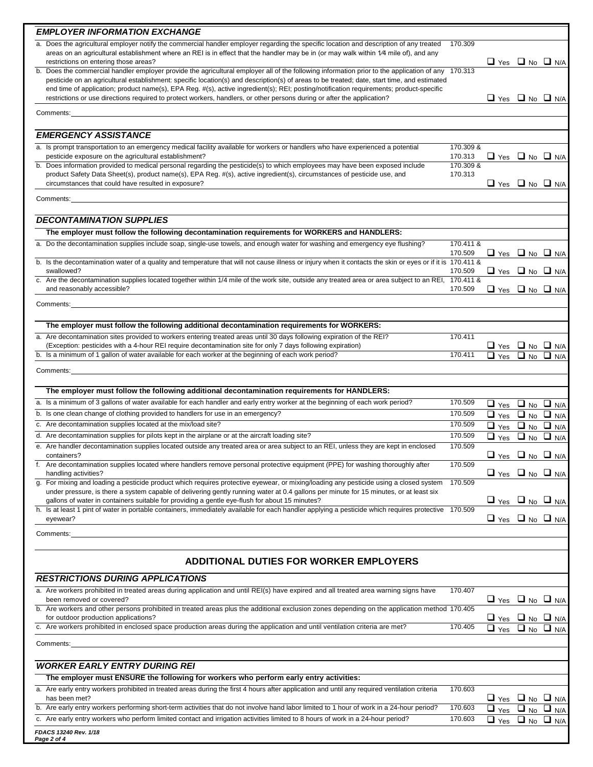| <b>EMPLOYER INFORMATION EXCHANGE</b>                                                                                                                                                                                                                                                                                                                                                                                                                                                                                                                                    |                                 |                                                                    |           |                                 |
|-------------------------------------------------------------------------------------------------------------------------------------------------------------------------------------------------------------------------------------------------------------------------------------------------------------------------------------------------------------------------------------------------------------------------------------------------------------------------------------------------------------------------------------------------------------------------|---------------------------------|--------------------------------------------------------------------|-----------|---------------------------------|
| a. Does the agricultural employer notify the commercial handler employer regarding the specific location and description of any treated<br>areas on an agricultural establishment where an REI is in effect that the handler may be in (or may walk within 1/4 mile of), and any<br>restrictions on entering those areas?                                                                                                                                                                                                                                               | 170.309                         | $\Box$ Yes $\Box$ No $\Box$ N/A                                    |           |                                 |
| b. Does the commercial handler employer provide the agricultural employer all of the following information prior to the application of any 170.313<br>pesticide on an agricultural establishment: specific location(s) and description(s) of areas to be treated; date, start time, and estimated<br>end time of application; product name(s), EPA Reg. #(s), active ingredient(s); REI; posting/notification requirements; product-specific<br>restrictions or use directions required to protect workers, handlers, or other persons during or after the application? |                                 | $\Box$ Yes $\Box$ No $\Box$ N/A                                    |           |                                 |
| Comments:                                                                                                                                                                                                                                                                                                                                                                                                                                                                                                                                                               |                                 |                                                                    |           |                                 |
| <b>EMERGENCY ASSISTANCE</b>                                                                                                                                                                                                                                                                                                                                                                                                                                                                                                                                             |                                 |                                                                    |           |                                 |
| a. Is prompt transportation to an emergency medical facility available for workers or handlers who have experienced a potential                                                                                                                                                                                                                                                                                                                                                                                                                                         | 170.309 &                       |                                                                    |           |                                 |
| pesticide exposure on the agricultural establishment?<br>b. Does information provided to medical personal regarding the pesticide(s) to which employees may have been exposed include<br>product Safety Data Sheet(s), product name(s), EPA Reg. #(s), active ingredient(s), circumstances of pesticide use, and<br>circumstances that could have resulted in exposure?                                                                                                                                                                                                 | 170.313<br>170.309 &<br>170.313 | $\Box$ Yes $\Box$ No $\Box$ N/A<br>$\Box$ Yes $\Box$ No $\Box$ N/A |           |                                 |
| Comments:                                                                                                                                                                                                                                                                                                                                                                                                                                                                                                                                                               |                                 |                                                                    |           |                                 |
|                                                                                                                                                                                                                                                                                                                                                                                                                                                                                                                                                                         |                                 |                                                                    |           |                                 |
| <b>DECONTAMINATION SUPPLIES</b><br>The employer must follow the following decontamination requirements for WORKERS and HANDLERS:                                                                                                                                                                                                                                                                                                                                                                                                                                        |                                 |                                                                    |           |                                 |
| a. Do the decontamination supplies include soap, single-use towels, and enough water for washing and emergency eye flushing?                                                                                                                                                                                                                                                                                                                                                                                                                                            | 170.411 &                       |                                                                    |           |                                 |
| b. Is the decontamination water of a quality and temperature that will not cause illness or injury when it contacts the skin or eyes or if it is 170.411 &                                                                                                                                                                                                                                                                                                                                                                                                              | 170.509                         | $\Box$ Yes $\Box$ No $\Box$ N/A                                    |           |                                 |
| swallowed?                                                                                                                                                                                                                                                                                                                                                                                                                                                                                                                                                              | 170.509                         | $\Box$ Yes $\Box$ No $\Box$ N/A                                    |           |                                 |
| c. Are the decontamination supplies located together within 1/4 mile of the work site, outside any treated area or area subject to an REI, 170.411 &<br>and reasonably accessible?                                                                                                                                                                                                                                                                                                                                                                                      | 170.509                         | $\Box$ Yes $\Box$ No $\Box$ N/A                                    |           |                                 |
| Comments:                                                                                                                                                                                                                                                                                                                                                                                                                                                                                                                                                               |                                 |                                                                    |           |                                 |
| The employer must follow the following additional decontamination requirements for WORKERS:                                                                                                                                                                                                                                                                                                                                                                                                                                                                             |                                 |                                                                    |           |                                 |
| a. Are decontamination sites provided to workers entering treated areas until 30 days following expiration of the REI?                                                                                                                                                                                                                                                                                                                                                                                                                                                  | 170.411                         |                                                                    |           |                                 |
| (Exception: pesticides with a 4-hour REI require decontamination site for only 7 days following expiration)<br>b. Is a minimum of 1 gallon of water available for each worker at the beginning of each work period?                                                                                                                                                                                                                                                                                                                                                     | 170.411                         | $\Box$ Yes $\Box$ No $\Box$ N/A<br>$\Box$ Yes                      | $\Box$ No | $\Box$ N/A                      |
| <b>Comments: Comments: Comments: Comments: Comments: Comments: Comments: Comments: Comments: Comments: Comments: Comments: Comments: Comments: Comments: Comments: Comments: Comments: Comme</b>                                                                                                                                                                                                                                                                                                                                                                        |                                 |                                                                    |           |                                 |
| The employer must follow the following additional decontamination requirements for HANDLERS:                                                                                                                                                                                                                                                                                                                                                                                                                                                                            |                                 |                                                                    |           |                                 |
| a. Is a minimum of 3 gallons of water available for each handler and early entry worker at the beginning of each work period?                                                                                                                                                                                                                                                                                                                                                                                                                                           | 170.509                         |                                                                    |           |                                 |
| b. Is one clean change of clothing provided to handlers for use in an emergency?                                                                                                                                                                                                                                                                                                                                                                                                                                                                                        | 170.509                         | $\Box$ Yes $\Box$ No $\Box$ N/A<br>$\Box$ Yes $\Box$ No $\Box$ N/A |           |                                 |
| c. Are decontamination supplies located at the mix/load site?                                                                                                                                                                                                                                                                                                                                                                                                                                                                                                           | 170.509                         | $\Box$ Yes $\Box$ No $\Box$ N/A                                    |           |                                 |
| d. Are decontamination supplies for pilots kept in the airplane or at the aircraft loading site?                                                                                                                                                                                                                                                                                                                                                                                                                                                                        | 170.509                         | $\Box$ Yes $\Box$ No $\Box$ N/A                                    |           |                                 |
| e. Are handler decontamination supplies located outside any treated area or area subject to an REI, unless they are kept in enclosed                                                                                                                                                                                                                                                                                                                                                                                                                                    | 170.509                         |                                                                    |           |                                 |
| containers?<br>Are decontamination supplies located where handlers remove personal protective equipment (PPE) for washing thoroughly after                                                                                                                                                                                                                                                                                                                                                                                                                              | 170.509                         | $\Box$ Yes $\Box$ No $\Box$ N/A                                    |           |                                 |
| handling activities?<br>g. For mixing and loading a pesticide product which requires protective eyewear, or mixing/loading any pesticide using a closed system                                                                                                                                                                                                                                                                                                                                                                                                          | 170.509                         | $\Box$ Yes $\Box$ No $\Box$ N/A                                    |           |                                 |
| under pressure, is there a system capable of delivering gently running water at 0.4 gallons per minute for 15 minutes, or at least six<br>gallons of water in containers suitable for providing a gentle eye-flush for about 15 minutes?                                                                                                                                                                                                                                                                                                                                |                                 | $\Box$ Yes $\Box$ No $\Box$ N/A                                    |           |                                 |
| h. Is at least 1 pint of water in portable containers, immediately available for each handler applying a pesticide which requires protective 170.509<br>eyewear?                                                                                                                                                                                                                                                                                                                                                                                                        |                                 | $\Box$ Yes $\Box$ No $\Box$ N/A                                    |           |                                 |
| Comments:                                                                                                                                                                                                                                                                                                                                                                                                                                                                                                                                                               |                                 |                                                                    |           |                                 |
|                                                                                                                                                                                                                                                                                                                                                                                                                                                                                                                                                                         |                                 |                                                                    |           |                                 |
| <b>ADDITIONAL DUTIES FOR WORKER EMPLOYERS</b>                                                                                                                                                                                                                                                                                                                                                                                                                                                                                                                           |                                 |                                                                    |           |                                 |
| <b>RESTRICTIONS DURING APPLICATIONS</b>                                                                                                                                                                                                                                                                                                                                                                                                                                                                                                                                 |                                 |                                                                    |           |                                 |
| a. Are workers prohibited in treated areas during application and until REI(s) have expired and all treated area warning signs have<br>been removed or covered?                                                                                                                                                                                                                                                                                                                                                                                                         | 170.407                         | $\Box$ Yes $\Box$ No $\Box$ N/A                                    |           |                                 |
| b. Are workers and other persons prohibited in treated areas plus the additional exclusion zones depending on the application method 170.405<br>for outdoor production applications?                                                                                                                                                                                                                                                                                                                                                                                    |                                 | $\Box$ Yes $\Box$ No $\Box$ N/A                                    |           |                                 |
| c. Are workers prohibited in enclosed space production areas during the application and until ventilation criteria are met?                                                                                                                                                                                                                                                                                                                                                                                                                                             | 170.405                         | $\Box$ Yes                                                         |           | $\Box$ No $\Box$ N/A            |
| Comments:                                                                                                                                                                                                                                                                                                                                                                                                                                                                                                                                                               |                                 |                                                                    |           |                                 |
| <b>WORKER EARLY ENTRY DURING REI</b>                                                                                                                                                                                                                                                                                                                                                                                                                                                                                                                                    |                                 |                                                                    |           |                                 |
| The employer must ENSURE the following for workers who perform early entry activities:                                                                                                                                                                                                                                                                                                                                                                                                                                                                                  |                                 |                                                                    |           |                                 |
| a. Are early entry workers prohibited in treated areas during the first 4 hours after application and until any required ventilation criteria<br>has been met?                                                                                                                                                                                                                                                                                                                                                                                                          | 170.603                         | $\Box$ Yes $\Box$ No $\Box$ N/A                                    |           |                                 |
| b. Are early entry workers performing short-term activities that do not involve hand labor limited to 1 hour of work in a 24-hour period?                                                                                                                                                                                                                                                                                                                                                                                                                               | 170.603                         | $\Box$ Yes $\Box$ No $\Box$ N/A                                    |           |                                 |
| c. Are early entry workers who perform limited contact and irrigation activities limited to 8 hours of work in a 24-hour period?                                                                                                                                                                                                                                                                                                                                                                                                                                        | 170.603                         |                                                                    |           | $\Box$ Yes $\Box$ No $\Box$ N/A |
|                                                                                                                                                                                                                                                                                                                                                                                                                                                                                                                                                                         |                                 |                                                                    |           |                                 |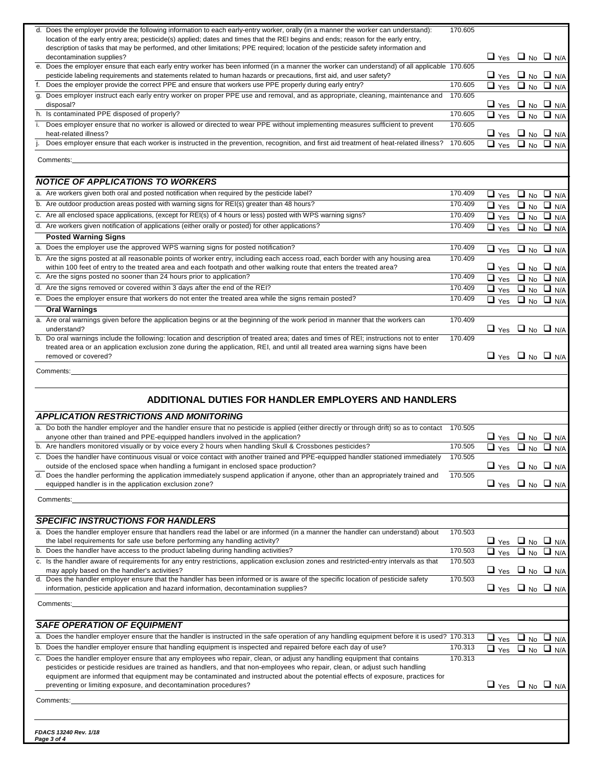| d. Does the employer provide the following information to each early-entry worker, orally (in a manner the worker can understand):<br>location of the early entry area; pesticide(s) applied; dates and times that the REI begins and ends; reason for the early entry, | 170.605 |                                                                    |                      |
|-------------------------------------------------------------------------------------------------------------------------------------------------------------------------------------------------------------------------------------------------------------------------|---------|--------------------------------------------------------------------|----------------------|
| description of tasks that may be performed, and other limitations; PPE required; location of the pesticide safety information and<br>decontamination supplies?                                                                                                          |         | $\Box$ Yes $\Box$ No $\Box$ N/A                                    |                      |
| e. Does the employer ensure that each early entry worker has been informed (in a manner the worker can understand) of all applicable 170.605                                                                                                                            |         |                                                                    |                      |
| pesticide labeling requirements and statements related to human hazards or precautions, first aid, and user safety?<br>f. Does the employer provide the correct PPE and ensure that workers use PPE properly during early entry?                                        | 170.605 | $\Box$ Yes $\Box$ No $\Box$ N/A<br>$\Box$ Yes $\Box$ No $\Box$ N/A |                      |
| g. Does employer instruct each early entry worker on proper PPE use and removal, and as appropriate, cleaning, maintenance and<br>disposal?                                                                                                                             | 170.605 | $\Box$ Yes $\Box$ No $\Box$ N/A                                    |                      |
| h. Is contaminated PPE disposed of properly?                                                                                                                                                                                                                            | 170.605 | $\Box$ Yes $\Box$ No $\Box$ N/A                                    |                      |
| i. Does employer ensure that no worker is allowed or directed to wear PPE without implementing measures sufficient to prevent<br>heat-related illness?                                                                                                                  | 170.605 | $\Box$ Yes $\Box$ No $\Box$ N/A                                    |                      |
| Does employer ensure that each worker is instructed in the prevention, recognition, and first aid treatment of heat-related illness?                                                                                                                                    | 170.605 | $\Box$ Yes                                                         | $\Box$ No $\Box$ N/A |
| Comments:                                                                                                                                                                                                                                                               |         |                                                                    |                      |
| <b>NOTICE OF APPLICATIONS TO WORKERS</b>                                                                                                                                                                                                                                |         |                                                                    |                      |
| a. Are workers given both oral and posted notification when required by the pesticide label?                                                                                                                                                                            | 170.409 | $\Box$ Yes $\Box$ No $\Box$ N/A                                    |                      |
| b. Are outdoor production areas posted with warning signs for REI(s) greater than 48 hours?                                                                                                                                                                             | 170.409 | $\Box$ Yes $\Box$ No $\Box$ N/A                                    |                      |
| c. Are all enclosed space applications, (except for REI(s) of 4 hours or less) posted with WPS warning signs?                                                                                                                                                           | 170.409 | $\Box$ Yes $\Box$ No $\Box$ N/A                                    |                      |
| d. Are workers given notification of applications (either orally or posted) for other applications?                                                                                                                                                                     | 170.409 | $\Box$ Yes $\Box$ No $\Box$ N/A                                    |                      |
| <b>Posted Warning Signs</b>                                                                                                                                                                                                                                             |         |                                                                    |                      |
| a. Does the employer use the approved WPS warning signs for posted notification?                                                                                                                                                                                        | 170.409 | $\Box$ Yes $\Box$ No $\Box$ N/A                                    |                      |
| b. Are the signs posted at all reasonable points of worker entry, including each access road, each border with any housing area<br>within 100 feet of entry to the treated area and each footpath and other walking route that enters the treated area?                 | 170.409 | $\Box$ Yes $\Box$ No $\Box$ N/A                                    |                      |
| c. Are the signs posted no sooner than 24 hours prior to application?                                                                                                                                                                                                   | 170.409 | $\Box$ Yes $\Box$ No $\Box$ N/A                                    |                      |
| d. Are the signs removed or covered within 3 days after the end of the REI?                                                                                                                                                                                             | 170.409 | $\Box$ Yes $\Box$ No $\Box$ N/A                                    |                      |
| e. Does the employer ensure that workers do not enter the treated area while the signs remain posted?                                                                                                                                                                   | 170.409 | $\Box$ Yes $\Box$ No $\Box$ N/A                                    |                      |
| Oral Warnings                                                                                                                                                                                                                                                           |         |                                                                    |                      |
| a. Are oral warnings given before the application begins or at the beginning of the work period in manner that the workers can<br>understand?                                                                                                                           | 170.409 | $\Box$ Yes $\Box$ No $\Box$ N/A                                    |                      |
| b. Do oral warnings include the following: location and description of treated area; dates and times of REI; instructions not to enter                                                                                                                                  | 170.409 |                                                                    |                      |
| treated area or an application exclusion zone during the application, REI, and until all treated area warning signs have been<br>removed or covered?                                                                                                                    |         | $\Box$ Yes $\Box$ No $\Box$ N/A                                    |                      |
|                                                                                                                                                                                                                                                                         |         |                                                                    |                      |
| Comments:                                                                                                                                                                                                                                                               |         |                                                                    |                      |
|                                                                                                                                                                                                                                                                         |         |                                                                    |                      |
| ADDITIONAL DUTIES FOR HANDLER EMPLOYERS AND HANDLERS                                                                                                                                                                                                                    |         |                                                                    |                      |
| <b>APPLICATION RESTRICTIONS AND MONITORING</b>                                                                                                                                                                                                                          |         |                                                                    |                      |
| a. Do both the handler employer and the handler ensure that no pesticide is applied (either directly or through drift) so as to contact                                                                                                                                 | 170.505 |                                                                    |                      |
| anyone other than trained and PPE-equipped handlers involved in the application?<br>b. Are handlers monitored visually or by voice every 2 hours when handling Skull & Crossbones pesticides?                                                                           | 170.505 | $\Box$ Yes $\Box$ No $\Box$ N/A                                    |                      |
| c. Does the handler have continuous visual or voice contact with another trained and PPE-equipped handler stationed immediately 170.505                                                                                                                                 |         | $\Box$ Yes $\Box$ No $\Box$ N/A                                    |                      |
| outside of the enclosed space when handling a fumigant in enclosed space production?                                                                                                                                                                                    |         | $\Box$ Yes $\Box$ No $\Box$ N/A                                    |                      |
| d. Does the handler performing the application immediately suspend application if anyone, other than an appropriately trained and                                                                                                                                       | 170.505 |                                                                    |                      |
| equipped handler is in the application exclusion zone?                                                                                                                                                                                                                  |         | $\Box$ Yes $\Box$ No $\Box$ N/A                                    |                      |
| Comments:                                                                                                                                                                                                                                                               |         |                                                                    |                      |
| <b>SPECIFIC INSTRUCTIONS FOR HANDLERS</b>                                                                                                                                                                                                                               |         |                                                                    |                      |
| a. Does the handler employer ensure that handlers read the label or are informed (in a manner the handler can understand) about                                                                                                                                         | 170.503 |                                                                    |                      |
| the label requirements for safe use before performing any handling activity?                                                                                                                                                                                            |         | $\Box$ Yes $\Box$ No $\Box$ N/A                                    |                      |
| b. Does the handler have access to the product labeling during handling activities?                                                                                                                                                                                     | 170.503 | $\Box$ Yes $\Box$ No $\Box$ N/A                                    |                      |
| c. Is the handler aware of requirements for any entry restrictions, application exclusion zones and restricted-entry intervals as that<br>may apply based on the handler's activities?                                                                                  | 170.503 | $\Box$ Yes $\Box$ No $\Box$ N/A                                    |                      |
| d. Does the handler employer ensure that the handler has been informed or is aware of the specific location of pesticide safety                                                                                                                                         | 170.503 |                                                                    |                      |
| information, pesticide application and hazard information, decontamination supplies?                                                                                                                                                                                    |         | $\Box$ Yes $\Box$ No $\Box$ N/A                                    |                      |
| Comments: New York Comments: New York Comments: New York Comments: New York Comments: New York Comments: New York Comments: New York Comments: New York Comments: New York Comments: New York Comments: New York Comments: New                                          |         |                                                                    |                      |
| <b>SAFE OPERATION OF EQUIPMENT</b>                                                                                                                                                                                                                                      |         |                                                                    |                      |
| a. Does the handler employer ensure that the handler is instructed in the safe operation of any handling equipment before it is used? 170.313                                                                                                                           |         | $\Box$ Yes $\Box$ No $\Box$ N/A                                    |                      |
| b. Does the handler employer ensure that handling equipment is inspected and repaired before each day of use?                                                                                                                                                           | 170.313 | $\overline{\square}$ Yes $\Box$ No $\Box$ N/A                      |                      |
| c. Does the handler employer ensure that any employees who repair, clean, or adjust any handling equipment that contains                                                                                                                                                | 170.313 |                                                                    |                      |
| pesticides or pesticide residues are trained as handlers, and that non-employees who repair, clean, or adjust such handling<br>equipment are informed that equipment may be contaminated and instructed about the potential effects of exposure, practices for          |         |                                                                    |                      |
| preventing or limiting exposure, and decontamination procedures?                                                                                                                                                                                                        |         | $\Box$ Yes $\Box$ No $\Box$ N/A                                    |                      |
| Comments:                                                                                                                                                                                                                                                               |         |                                                                    |                      |